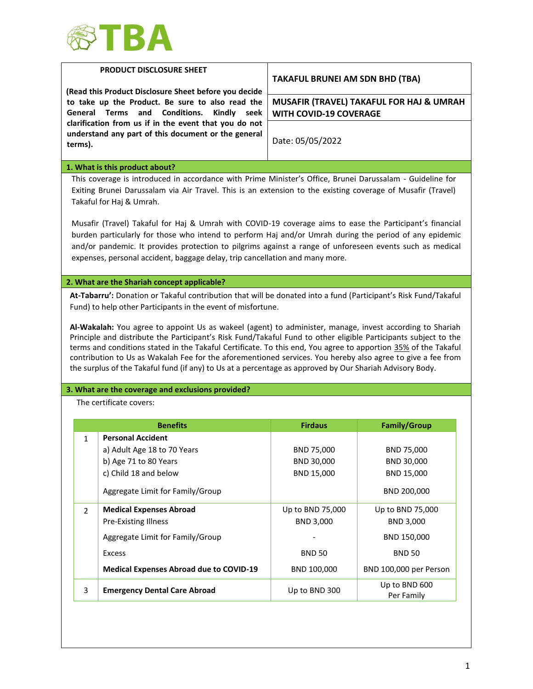

|                                                                                                                                                                 | PRODUCT DISCLOSURE SHEET<br>(Read this Product Disclosure Sheet before you decide                                                                                                                                                                                                                                                                                                                                                                                                                                                                                                                                                                        | <b>TAKAFUL BRUNEI AM SDN BHD (TBA)</b>                                    |                                                       |
|-----------------------------------------------------------------------------------------------------------------------------------------------------------------|----------------------------------------------------------------------------------------------------------------------------------------------------------------------------------------------------------------------------------------------------------------------------------------------------------------------------------------------------------------------------------------------------------------------------------------------------------------------------------------------------------------------------------------------------------------------------------------------------------------------------------------------------------|---------------------------------------------------------------------------|-------------------------------------------------------|
| to take up the Product. Be sure to also read the<br>and<br>Conditions.<br>General Terms<br>Kindly seek<br>clarification from us if in the event that you do not |                                                                                                                                                                                                                                                                                                                                                                                                                                                                                                                                                                                                                                                          | MUSAFIR (TRAVEL) TAKAFUL FOR HAJ & UMRAH<br><b>WITH COVID-19 COVERAGE</b> |                                                       |
| terms).                                                                                                                                                         | understand any part of this document or the general                                                                                                                                                                                                                                                                                                                                                                                                                                                                                                                                                                                                      | Date: 05/05/2022                                                          |                                                       |
|                                                                                                                                                                 | 1. What is this product about?                                                                                                                                                                                                                                                                                                                                                                                                                                                                                                                                                                                                                           |                                                                           |                                                       |
|                                                                                                                                                                 | This coverage is introduced in accordance with Prime Minister's Office, Brunei Darussalam - Guideline for<br>Exiting Brunei Darussalam via Air Travel. This is an extension to the existing coverage of Musafir (Travel)<br>Takaful for Haj & Umrah.                                                                                                                                                                                                                                                                                                                                                                                                     |                                                                           |                                                       |
|                                                                                                                                                                 | Musafir (Travel) Takaful for Haj & Umrah with COVID-19 coverage aims to ease the Participant's financial<br>burden particularly for those who intend to perform Haj and/or Umrah during the period of any epidemic<br>and/or pandemic. It provides protection to pilgrims against a range of unforeseen events such as medical<br>expenses, personal accident, baggage delay, trip cancellation and many more.                                                                                                                                                                                                                                           |                                                                           |                                                       |
|                                                                                                                                                                 |                                                                                                                                                                                                                                                                                                                                                                                                                                                                                                                                                                                                                                                          |                                                                           |                                                       |
|                                                                                                                                                                 | 2. What are the Shariah concept applicable?<br>At-Tabarru': Donation or Takaful contribution that will be donated into a fund (Participant's Risk Fund/Takaful<br>Fund) to help other Participants in the event of misfortune.                                                                                                                                                                                                                                                                                                                                                                                                                           |                                                                           |                                                       |
|                                                                                                                                                                 | Al-Wakalah: You agree to appoint Us as wakeel (agent) to administer, manage, invest according to Shariah<br>Principle and distribute the Participant's Risk Fund/Takaful Fund to other eligible Participants subject to the<br>terms and conditions stated in the Takaful Certificate. To this end, You agree to apportion 35% of the Takaful<br>contribution to Us as Wakalah Fee for the aforementioned services. You hereby also agree to give a fee from<br>the surplus of the Takaful fund (if any) to Us at a percentage as approved by Our Shariah Advisory Body.<br>3. What are the coverage and exclusions provided?<br>The certificate covers: |                                                                           |                                                       |
|                                                                                                                                                                 | <b>Benefits</b>                                                                                                                                                                                                                                                                                                                                                                                                                                                                                                                                                                                                                                          | <b>Firdaus</b>                                                            | <b>Family/Group</b>                                   |
| $\mathbf{1}$                                                                                                                                                    | <b>Personal Accident</b><br>a) Adult Age 18 to 70 Years<br>b) Age 71 to 80 Years<br>c) Child 18 and below                                                                                                                                                                                                                                                                                                                                                                                                                                                                                                                                                | BND 75,000<br>BND 30,000<br>BND 15,000                                    | BND 75,000<br>BND 30,000<br>BND 15,000<br>BND 200,000 |
| $\overline{2}$                                                                                                                                                  | Aggregate Limit for Family/Group<br><b>Medical Expenses Abroad</b><br><b>Pre-Existing Illness</b>                                                                                                                                                                                                                                                                                                                                                                                                                                                                                                                                                        | Up to BND 75,000<br>BND 3,000                                             | Up to BND 75,000<br>BND 3,000                         |
|                                                                                                                                                                 | Aggregate Limit for Family/Group                                                                                                                                                                                                                                                                                                                                                                                                                                                                                                                                                                                                                         |                                                                           | BND 150,000                                           |
|                                                                                                                                                                 | <b>Excess</b>                                                                                                                                                                                                                                                                                                                                                                                                                                                                                                                                                                                                                                            | <b>BND 50</b>                                                             | <b>BND 50</b>                                         |
|                                                                                                                                                                 | <b>Medical Expenses Abroad due to COVID-19</b>                                                                                                                                                                                                                                                                                                                                                                                                                                                                                                                                                                                                           | BND 100,000                                                               | BND 100,000 per Person                                |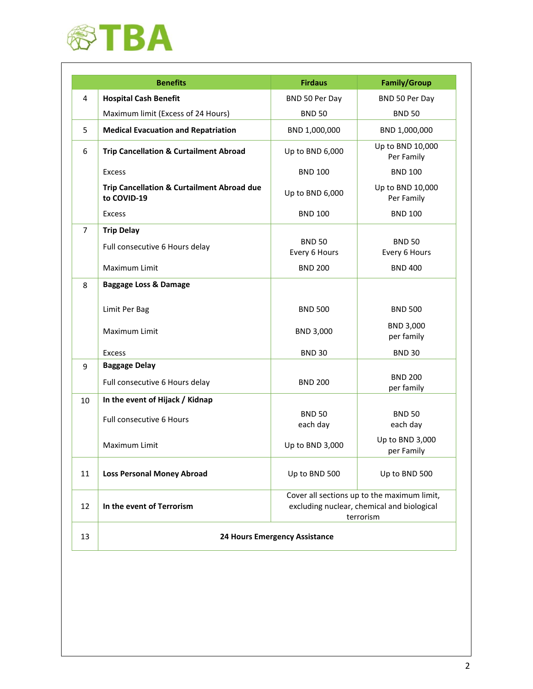

|                | <b>Benefits</b>                                           | <b>Firdaus</b>                                                                                         | <b>Family/Group</b>            |
|----------------|-----------------------------------------------------------|--------------------------------------------------------------------------------------------------------|--------------------------------|
| 4              | <b>Hospital Cash Benefit</b>                              | BND 50 Per Day                                                                                         | BND 50 Per Day                 |
|                | Maximum limit (Excess of 24 Hours)                        | <b>BND 50</b>                                                                                          | <b>BND 50</b>                  |
| 5              | <b>Medical Evacuation and Repatriation</b>                | BND 1,000,000                                                                                          | BND 1,000,000                  |
| 6              | <b>Trip Cancellation &amp; Curtailment Abroad</b>         | Up to BND 6,000                                                                                        | Up to BND 10,000<br>Per Family |
|                | <b>Excess</b>                                             | <b>BND 100</b>                                                                                         | <b>BND 100</b>                 |
|                | Trip Cancellation & Curtailment Abroad due<br>to COVID-19 | Up to BND 6,000                                                                                        | Up to BND 10,000<br>Per Family |
|                | <b>Excess</b>                                             | <b>BND 100</b>                                                                                         | <b>BND 100</b>                 |
| $\overline{7}$ | <b>Trip Delay</b>                                         |                                                                                                        |                                |
|                | Full consecutive 6 Hours delay                            | <b>BND 50</b><br>Every 6 Hours                                                                         | <b>BND 50</b><br>Every 6 Hours |
|                | Maximum Limit                                             | <b>BND 200</b>                                                                                         | <b>BND 400</b>                 |
| 8              | <b>Baggage Loss &amp; Damage</b>                          |                                                                                                        |                                |
|                | Limit Per Bag                                             | <b>BND 500</b>                                                                                         | <b>BND 500</b>                 |
|                | Maximum Limit                                             | BND 3,000                                                                                              | BND 3,000<br>per family        |
|                | <b>Excess</b>                                             | <b>BND 30</b>                                                                                          | <b>BND 30</b>                  |
| 9              | <b>Baggage Delay</b>                                      |                                                                                                        |                                |
|                | Full consecutive 6 Hours delay                            | <b>BND 200</b>                                                                                         | <b>BND 200</b><br>per family   |
| 10             | In the event of Hijack / Kidnap                           |                                                                                                        |                                |
|                | Full consecutive 6 Hours                                  | <b>BND 50</b><br>each day                                                                              | <b>BND 50</b><br>each day      |
|                | Maximum Limit                                             | Up to BND 3,000                                                                                        | Up to BND 3,000<br>per Family  |
| 11             | <b>Loss Personal Money Abroad</b>                         | Up to BND 500                                                                                          | Up to BND 500                  |
| 12             | In the event of Terrorism                                 | Cover all sections up to the maximum limit,<br>excluding nuclear, chemical and biological<br>terrorism |                                |
| 13             |                                                           | <b>24 Hours Emergency Assistance</b>                                                                   |                                |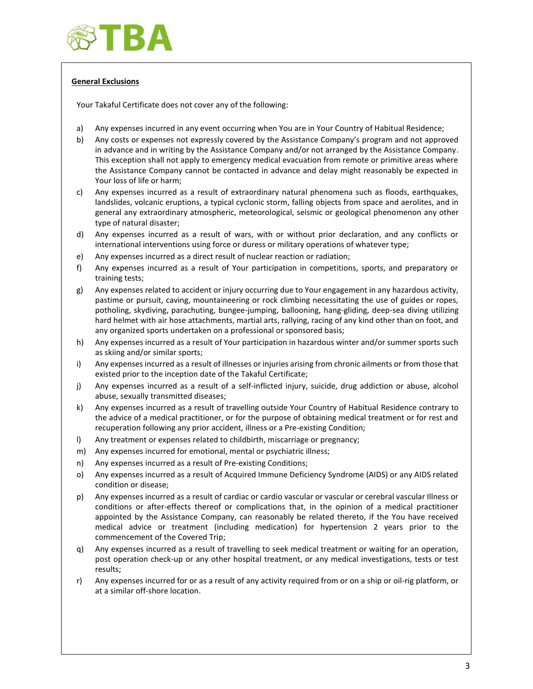

# **General Exclusions**

Your Takaful Certificate does not cover any of the following:

- a) Any expenses incurred in any event occurring when You are in Your Country of Habitual Residence;
- b) Any costs or expenses not expressly covered by the Assistance Company's program and not approved in advance and in writing by the Assistance Company and/or not arranged by the Assistance Company. This exception shall not apply to emergency medical evacuation from remote or primitive areas where the Assistance Company cannot be contacted in advance and delay might reasonably be expected in Your loss of life or harm;
- c) Any expenses incurred as a result of extraordinary natural phenomena such as floods, earthquakes, landslides, volcanic eruptions, a typical cyclonic storm, falling objects from space and aerolites, and in general any extraordinary atmospheric, meteorological, seismic or geological phenomenon any other type of natural disaster;
- d) Any expenses incurred as a result of wars, with or without prior declaration, and any conflicts or international interventions using force or duress or military operations of whatever type;
- e) Any expenses incurred as a direct result of nuclear reaction or radiation;
- f) Any expenses incurred as a result of Your participation in competitions, sports, and preparatory or training tests;
- g) Any expenses related to accident or injury occurring due to Your engagement in any hazardous activity, pastime or pursuit, caving, mountaineering or rock climbing necessitating the use of guides or ropes, potholing, skydiving, parachuting, bungee-jumping, ballooning, hang-gliding, deep-sea diving utilizing hard helmet with air hose attachments, martial arts, rallying, racing of any kind other than on foot, and any organized sports undertaken on a professional or sponsored basis;
- h) Any expenses incurred as a result of Your participation in hazardous winter and/or summer sports such as skiing and/or similar sports;
- i) Any expenses incurred as a result of illnesses or injuries arising from chronic ailments or from those that existed prior to the inception date of the Takaful Certificate;
- j) Any expenses incurred as a result of a self-inflicted injury, suicide, drug addiction or abuse, alcohol abuse, sexually transmitted diseases;
- k) Any expenses incurred as a result of travelling outside Your Country of Habitual Residence contrary to the advice of a medical practitioner, or for the purpose of obtaining medical treatment or for rest and recuperation following any prior accident, illness or a Pre-existing Condition;
- l) Any treatment or expenses related to childbirth, miscarriage or pregnancy;
- m) Any expenses incurred for emotional, mental or psychiatric illness;
- n) Any expenses incurred as a result of Pre-existing Conditions;
- o) Any expenses incurred as a result of Acquired Immune Deficiency Syndrome (AIDS) or any AIDS related condition or disease;
- p) Any expenses incurred as a result of cardiac or cardio vascular or vascular or cerebral vascular Illness or conditions or after-effects thereof or complications that, in the opinion of a medical practitioner appointed by the Assistance Company, can reasonably be related thereto, if the You have received medical advice or treatment (including medication) for hypertension 2 years prior to the commencement of the Covered Trip;
- q) Any expenses incurred as a result of travelling to seek medical treatment or waiting for an operation, post operation check-up or any other hospital treatment, or any medical investigations, tests or test results;
- r) Any expenses incurred for or as a result of any activity required from or on a ship or oil-rig platform, or at a similar off-shore location.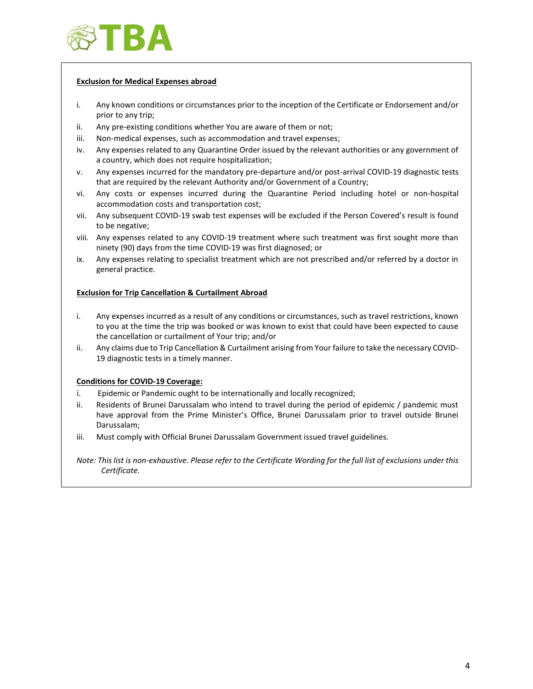

### **Exclusion for Medical Expenses abroad**

- i. Any known conditions or circumstances prior to the inception of the Certificate or Endorsement and/or prior to any trip;
- ii. Any pre-existing conditions whether You are aware of them or not;
- iii. Non-medical expenses, such as accommodation and travel expenses;
- iv. Any expenses related to any Quarantine Order issued by the relevant authorities or any government of a country, which does not require hospitalization;
- v. Any expenses incurred for the mandatory pre-departure and/or post-arrival COVID-19 diagnostic tests that are required by the relevant Authority and/or Government of a Country;
- vi. Any costs or expenses incurred during the Quarantine Period including hotel or non-hospital accommodation costs and transportation cost;
- vii. Any subsequent COVID-19 swab test expenses will be excluded if the Person Covered's result is found to be negative;
- viii. Any expenses related to any COVID-19 treatment where such treatment was first sought more than ninety (90) days from the time COVID-19 was first diagnosed; or
- ix. Any expenses relating to specialist treatment which are not prescribed and/or referred by a doctor in general practice.

# **Exclusion for Trip Cancellation & Curtailment Abroad**

- i. Any expenses incurred as a result of any conditions or circumstances, such as travel restrictions, known to you at the time the trip was booked or was known to exist that could have been expected to cause the cancellation or curtailment of Your trip; and/or
- ii. Any claims due to Trip Cancellation & Curtailment arising from Your failure to take the necessary COVID-19 diagnostic tests in a timely manner.

### **Conditions for COVID-19 Coverage:**

- i. Epidemic or Pandemic ought to be internationally and locally recognized;
- ii. Residents of Brunei Darussalam who intend to travel during the period of epidemic / pandemic must have approval from the Prime Minister's Office, Brunei Darussalam prior to travel outside Brunei Darussalam;
- iii. Must comply with Official Brunei Darussalam Government issued travel guidelines.

*Note: This list is non-exhaustive. Please refer to the Certificate Wording for the full list of exclusions under this Certificate.*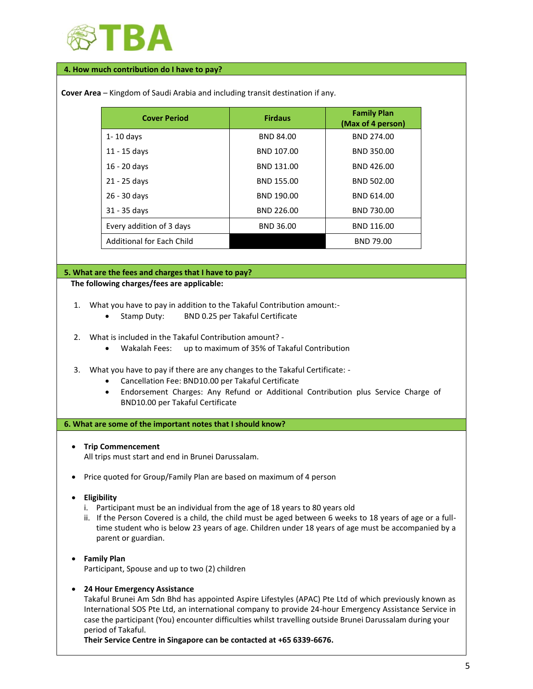

#### **4. How much contribution do I have to pay?**

| <b>Cover Period</b>              | <b>Firdaus</b>   | <b>Family Plan</b><br>(Max of 4 person) |
|----------------------------------|------------------|-----------------------------------------|
| $1 - 10$ days                    | <b>BND 84.00</b> | BND 274.00                              |
| $11 - 15$ days                   | BND 107.00       | BND 350.00                              |
| 16 - 20 days                     | BND 131.00       | BND 426.00                              |
| 21 - 25 days                     | BND 155.00       | BND 502.00                              |
| 26 - 30 days                     | BND 190.00       | BND 614.00                              |
| 31 - 35 days                     | BND 226.00       | BND 730.00                              |
| Every addition of 3 days         | BND 36.00        | BND 116.00                              |
| <b>Additional for Each Child</b> |                  | <b>BND 79.00</b>                        |

#### **The following charges/fees are applicable:**

- 1. What you have to pay in addition to the Takaful Contribution amount:-
	- Stamp Duty: BND 0.25 per Takaful Certificate
- 2. What is included in the Takaful Contribution amount?
	- Wakalah Fees: up to maximum of 35% of Takaful Contribution
- 3. What you have to pay if there are any changes to the Takaful Certificate:
	- Cancellation Fee: BND10.00 per Takaful Certificate
	- Endorsement Charges: Any Refund or Additional Contribution plus Service Charge of BND10.00 per Takaful Certificate

### **6. What are some of the important notes that I should know?**

• **Trip Commencement** 

All trips must start and end in Brunei Darussalam.

- Price quoted for Group/Family Plan are based on maximum of 4 person
- **Eligibility**
	- i. Participant must be an individual from the age of 18 years to 80 years old
	- ii. If the Person Covered is a child, the child must be aged between 6 weeks to 18 years of age or a fulltime student who is below 23 years of age. Children under 18 years of age must be accompanied by a parent or guardian.
- **Family Plan** Participant, Spouse and up to two (2) children

### • **24 Hour Emergency Assistance**

Takaful Brunei Am Sdn Bhd has appointed Aspire Lifestyles (APAC) Pte Ltd of which previously known as International SOS Pte Ltd, an international company to provide 24-hour Emergency Assistance Service in case the participant (You) encounter difficulties whilst travelling outside Brunei Darussalam during your period of Takaful.

**Their Service Centre in Singapore can be contacted at +65 6339-6676.**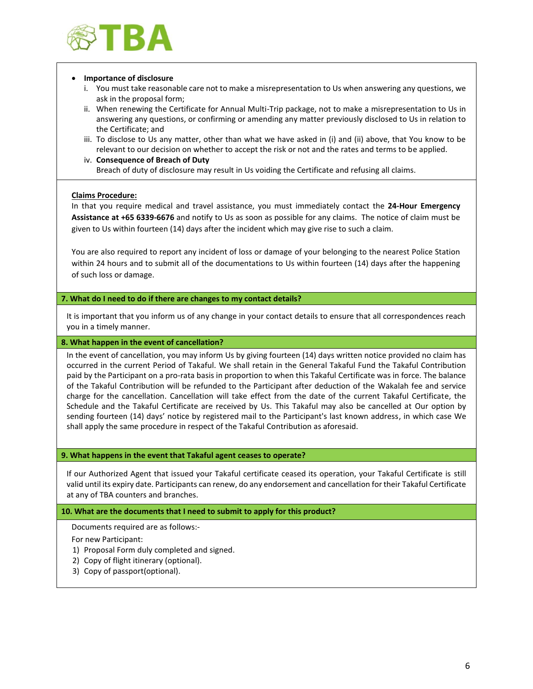

#### • **Importance of disclosure**

- i. You must take reasonable care not to make a misrepresentation to Us when answering any questions, we ask in the proposal form;
- ii. When renewing the Certificate for Annual Multi-Trip package, not to make a misrepresentation to Us in answering any questions, or confirming or amending any matter previously disclosed to Us in relation to the Certificate; and
- iii. To disclose to Us any matter, other than what we have asked in (i) and (ii) above, that You know to be relevant to our decision on whether to accept the risk or not and the rates and terms to be applied.
- iv. **Consequence of Breach of Duty** Breach of duty of disclosure may result in Us voiding the Certificate and refusing all claims.

## **Claims Procedure:**

In that you require medical and travel assistance, you must immediately contact the **24-Hour Emergency Assistance at +65 6339-6676** and notify to Us as soon as possible for any claims. The notice of claim must be given to Us within fourteen (14) days after the incident which may give rise to such a claim.

You are also required to report any incident of loss or damage of your belonging to the nearest Police Station within 24 hours and to submit all of the documentations to Us within fourteen (14) days after the happening of such loss or damage.

### **7. What do I need to do if there are changes to my contact details?**

It is important that you inform us of any change in your contact details to ensure that all correspondences reach you in a timely manner.

### **8. What happen in the event of cancellation?**

In the event of cancellation, you may inform Us by giving fourteen (14) days written notice provided no claim has occurred in the current Period of Takaful. We shall retain in the General Takaful Fund the Takaful Contribution paid by the Participant on a pro-rata basis in proportion to when this Takaful Certificate was in force. The balance of the Takaful Contribution will be refunded to the Participant after deduction of the Wakalah fee and service charge for the cancellation. Cancellation will take effect from the date of the current Takaful Certificate, the Schedule and the Takaful Certificate are received by Us. This Takaful may also be cancelled at Our option by sending fourteen (14) days' notice by registered mail to the Participant's last known address, in which case We shall apply the same procedure in respect of the Takaful Contribution as aforesaid.

### **9. What happens in the event that Takaful agent ceases to operate?**

If our Authorized Agent that issued your Takaful certificate ceased its operation, your Takaful Certificate is still valid until its expiry date. Participants can renew, do any endorsement and cancellation for their Takaful Certificate at any of TBA counters and branches.

### **10. What are the documents that I need to submit to apply for this product?**

Documents required are as follows:-

For new Participant:

- 1) Proposal Form duly completed and signed.
- 2) Copy of flight itinerary (optional).
- 3) Copy of passport(optional).